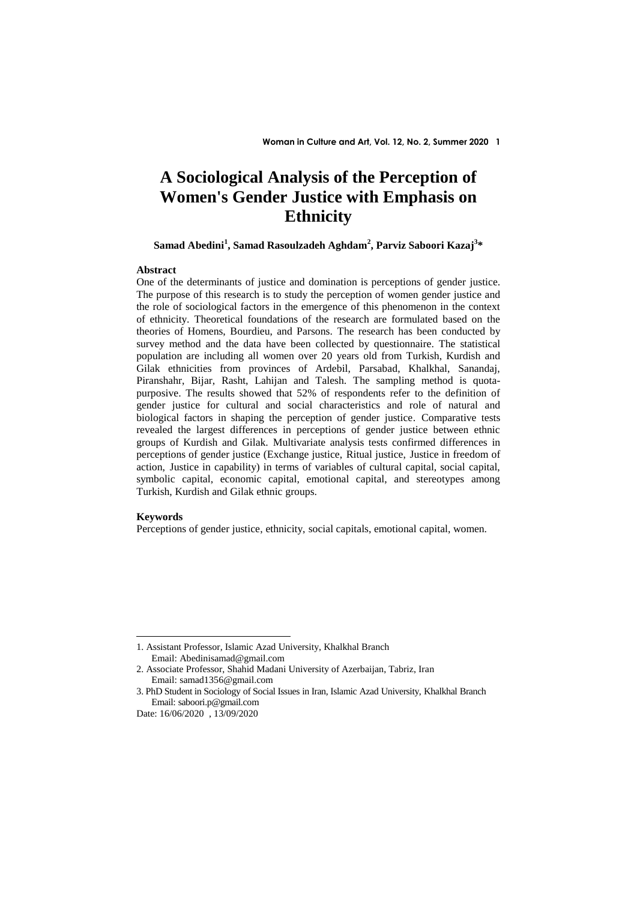# **A Sociological Analysis of the Perception of Women's Gender Justice with Emphasis on Ethnicity**

# **Samad Abedini<sup>1</sup> , Samad Rasoulzadeh Aghdam<sup>2</sup> , Parviz Saboori Kazaj<sup>3</sup> \***

### **Abstract**

One of the determinants of justice and domination is perceptions of gender justice. The purpose of this research is to study the perception of women gender justice and the role of sociological factors in the emergence of this phenomenon in the context of ethnicity. Theoretical foundations of the research are formulated based on the theories of Homens, Bourdieu, and Parsons. The research has been conducted by survey method and the data have been collected by questionnaire. The statistical population are including all women over 20 years old from Turkish, Kurdish and Gilak ethnicities from provinces of Ardebil, Parsabad, Khalkhal, Sanandaj, Piranshahr, Bijar, Rasht, Lahijan and Talesh. The sampling method is quotapurposive. The results showed that 52% of respondents refer to the definition of gender justice for cultural and social characteristics and role of natural and biological factors in shaping the perception of gender justice. Comparative tests revealed the largest differences in perceptions of gender justice between ethnic groups of Kurdish and Gilak. Multivariate analysis tests confirmed differences in perceptions of gender justice (Exchange justice, Ritual justice, Justice in freedom of action, Justice in capability) in terms of variables of cultural capital, social capital, symbolic capital, economic capital, emotional capital, and stereotypes among Turkish, Kurdish and Gilak ethnic groups.

### **Keywords**

<u>.</u>

Perceptions of gender justice, ethnicity, social capitals, emotional capital, women.

<sup>1.</sup> Assistant Professor, Islamic Azad University, Khalkhal Branch Email: Abedinisamad@gmail.com

<sup>2.</sup> Associate Professor, Shahid Madani University of Azerbaijan, Tabriz, Iran Email: samad1356@gmail.com

<sup>3.</sup> PhD Student in Sociology of Social Issues in Iran, Islamic Azad University, Khalkhal Branch Email: saboori.p@gmail.com

Date: 16/06/2020 , 13/09/2020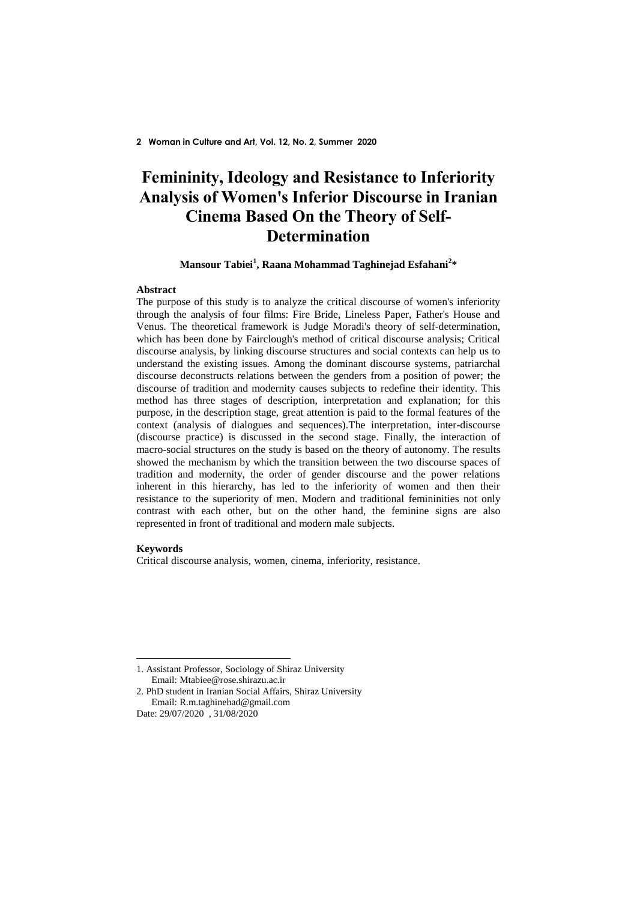# **Femininity, Ideology and Resistance to Inferiority Analysis of Women's Inferior Discourse in Iranian Cinema Based On the Theory of Self-Determination**

# **Mansour Tabiei<sup>1</sup> , Raana Mohammad Taghinejad Esfahani<sup>2</sup> \***

#### **Abstract**

The purpose of this study is to analyze the critical discourse of women's inferiority through the analysis of four films: Fire Bride, Lineless Paper, Father's House and Venus. The theoretical framework is Judge Moradi's theory of self-determination, which has been done by Fairclough's method of critical discourse analysis; Critical discourse analysis, by linking discourse structures and social contexts can help us to understand the existing issues. Among the dominant discourse systems, patriarchal discourse deconstructs relations between the genders from a position of power; the discourse of tradition and modernity causes subjects to redefine their identity. This method has three stages of description, interpretation and explanation; for this purpose, in the description stage, great attention is paid to the formal features of the context (analysis of dialogues and sequences).The interpretation, inter-discourse (discourse practice) is discussed in the second stage. Finally, the interaction of macro-social structures on the study is based on the theory of autonomy. The results showed the mechanism by which the transition between the two discourse spaces of tradition and modernity, the order of gender discourse and the power relations inherent in this hierarchy, has led to the inferiority of women and then their resistance to the superiority of men. Modern and traditional femininities not only contrast with each other, but on the other hand, the feminine signs are also represented in front of traditional and modern male subjects.

### **Keywords**

<u>.</u>

Critical discourse analysis, women, cinema, inferiority, resistance.

2. PhD student in Iranian Social Affairs, Shiraz University Email: R.m.taghinehad@gmail.com

<sup>1.</sup> Assistant Professor, Sociology of Shiraz University Email: Mtabiee@rose.shirazu.ac.ir

Date: 29/07/2020 , 31/08/2020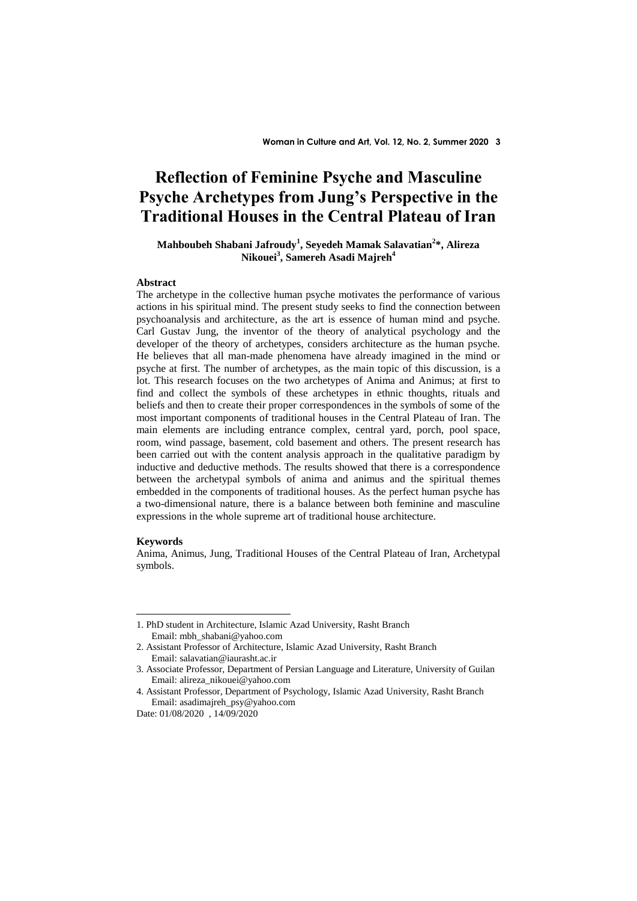# **Reflection of Feminine Psyche and Masculine Psyche Archetypes from Jung's Perspective in the Traditional Houses in the Central Plateau of Iran**

# **Mahboubeh Shabani Jafroudy<sup>1</sup> , Seyedeh Mamak Salavatian<sup>2</sup> \*, Alireza Nikouei<sup>3</sup> , Samereh Asadi Majreh<sup>4</sup>**

#### **Abstract**

The archetype in the collective human psyche motivates the performance of various actions in his spiritual mind. The present study seeks to find the connection between psychoanalysis and architecture, as the art is essence of human mind and psyche. Carl Gustav Jung, the inventor of the theory of analytical psychology and the developer of the theory of archetypes, considers architecture as the human psyche. He believes that all man-made phenomena have already imagined in the mind or psyche at first. The number of archetypes, as the main topic of this discussion, is a lot. This research focuses on the two archetypes of Anima and Animus; at first to find and collect the symbols of these archetypes in ethnic thoughts, rituals and beliefs and then to create their proper correspondences in the symbols of some of the most important components of traditional houses in the Central Plateau of Iran. The main elements are including entrance complex, central yard, porch, pool space, room, wind passage, basement, cold basement and others. The present research has been carried out with the content analysis approach in the qualitative paradigm by inductive and deductive methods. The results showed that there is a correspondence between the archetypal symbols of anima and animus and the spiritual themes embedded in the components of traditional houses. As the perfect human psyche has a two-dimensional nature, there is a balance between both feminine and masculine expressions in the whole supreme art of traditional house architecture.

#### **Keywords**

<u>.</u>

Anima, Animus, Jung, Traditional Houses of the Central Plateau of Iran, Archetypal symbols.

<sup>1.</sup> PhD student in Architecture, Islamic Azad University, Rasht Branch Email: mbh\_shabani@yahoo.com

<sup>2.</sup> Assistant Professor of Architecture, Islamic Azad University, Rasht Branch Email: salavatian@iaurasht.ac.ir

<sup>3.</sup> Associate Professor, Department of Persian Language and Literature, University of Guilan Email: alireza\_nikouei@yahoo.com

<sup>4.</sup> Assistant Professor, Department of Psychology, Islamic Azad University, Rasht Branch Email: asadimajreh\_psy@yahoo.com

Date: 01/08/2020 , 14/09/2020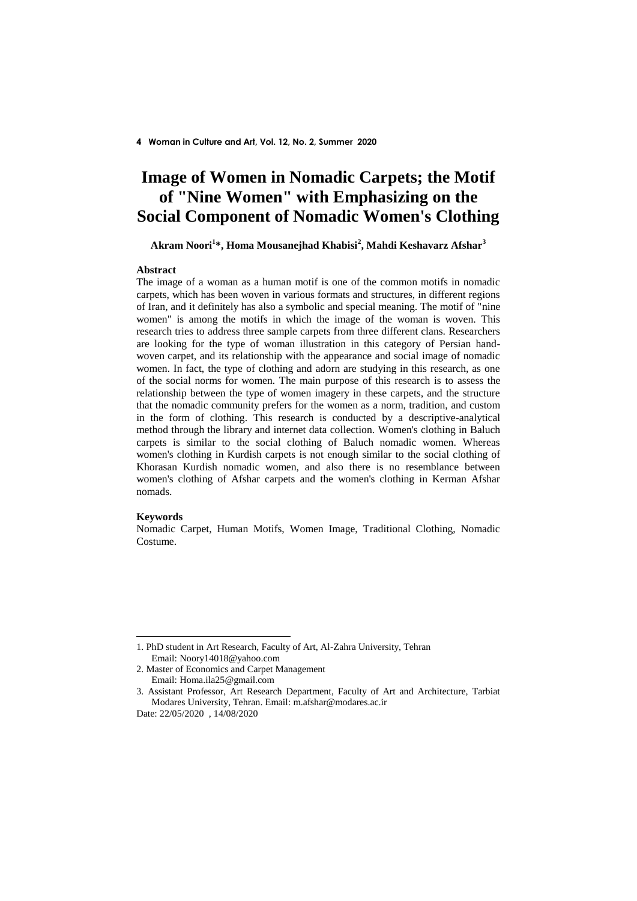# **Image of Women in Nomadic Carpets; the Motif of "Nine Women" with Emphasizing on the Social Component of Nomadic Women's Clothing**

# **Akram Noori<sup>1</sup> \*, Homa Mousanejhad Khabisi<sup>2</sup> , Mahdi Keshavarz Afshar<sup>3</sup>**

#### **Abstract**

The image of a woman as a human motif is one of the common motifs in nomadic carpets, which has been woven in various formats and structures, in different regions of Iran, and it definitely has also a symbolic and special meaning. The motif of "nine women" is among the motifs in which the image of the woman is woven. This research tries to address three sample carpets from three different clans. Researchers are looking for the type of woman illustration in this category of Persian handwoven carpet, and its relationship with the appearance and social image of nomadic women. In fact, the type of clothing and adorn are studying in this research, as one of the social norms for women. The main purpose of this research is to assess the relationship between the type of women imagery in these carpets, and the structure that the nomadic community prefers for the women as a norm, tradition, and custom in the form of clothing. This research is conducted by a descriptive-analytical method through the library and internet data collection. Women's clothing in Baluch carpets is similar to the social clothing of Baluch nomadic women. Whereas women's clothing in Kurdish carpets is not enough similar to the social clothing of Khorasan Kurdish nomadic women, and also there is no resemblance between women's clothing of Afshar carpets and the women's clothing in Kerman Afshar nomads.

#### **Keywords**

<u>.</u>

Nomadic Carpet, Human Motifs, Women Image, Traditional Clothing, Nomadic Costume.

<sup>1.</sup> PhD student in Art Research, Faculty of Art, Al-Zahra University, Tehran Email: Noory14018@yahoo.com

<sup>2.</sup> Master of Economics and Carpet Management Email: Homa.ila25@gmail.com

<sup>3.</sup> Assistant Professor, Art Research Department, Faculty of Art and Architecture, Tarbiat Modares University, Tehran. Email: m.afshar@modares.ac.ir

Date: 22/05/2020 , 14/08/2020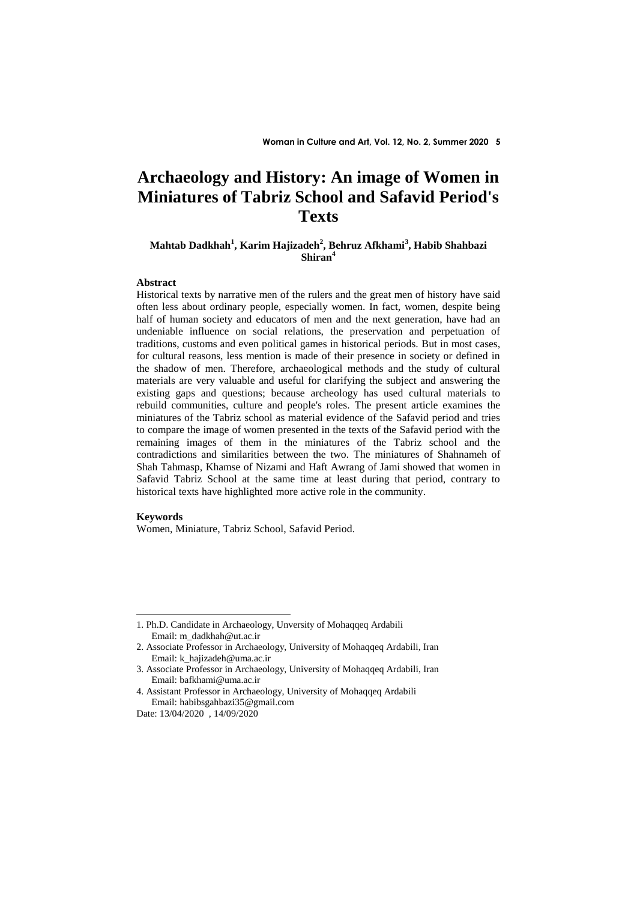# **Archaeology and History: An image of Women in Miniatures of Tabriz School and Safavid Period's Texts**

## **Mahtab Dadkhah<sup>1</sup> , Karim Hajizadeh<sup>2</sup> , Behruz Afkhami<sup>3</sup> , Habib Shahbazi Shiran<sup>4</sup>**

### **Abstract**

Historical texts by narrative men of the rulers and the great men of history have said often less about ordinary people, especially women. In fact, women, despite being half of human society and educators of men and the next generation, have had an undeniable influence on social relations, the preservation and perpetuation of traditions, customs and even political games in historical periods. But in most cases, for cultural reasons, less mention is made of their presence in society or defined in the shadow of men. Therefore, archaeological methods and the study of cultural materials are very valuable and useful for clarifying the subject and answering the existing gaps and questions; because archeology has used cultural materials to rebuild communities, culture and people's roles. The present article examines the miniatures of the Tabriz school as material evidence of the Safavid period and tries to compare the image of women presented in the texts of the Safavid period with the remaining images of them in the miniatures of the Tabriz school and the contradictions and similarities between the two. The miniatures of Shahnameh of Shah Tahmasp, Khamse of Nizami and Haft Awrang of Jami showed that women in Safavid Tabriz School at the same time at least during that period, contrary to historical texts have highlighted more active role in the community.

### **Keywords**

<u>.</u>

Women, Miniature, Tabriz School, Safavid Period.

<sup>1.</sup> Ph.D. Candidate in Archaeology, Unversity of Mohaqqeq Ardabili Email: m\_dadkhah@ut.ac.ir

<sup>2.</sup> Associate Professor in Archaeology, University of Mohaqqeq Ardabili, Iran Email: k\_hajizadeh@uma.ac.ir

<sup>3.</sup> Associate Professor in Archaeology, University of Mohaqqeq Ardabili, Iran Email: bafkhami@uma.ac.ir

<sup>4.</sup> Assistant Professor in Archaeology, University of Mohaqqeq Ardabili Email: habibsgahbazi35@gmail.com

Date: 13/04/2020 , 14/09/2020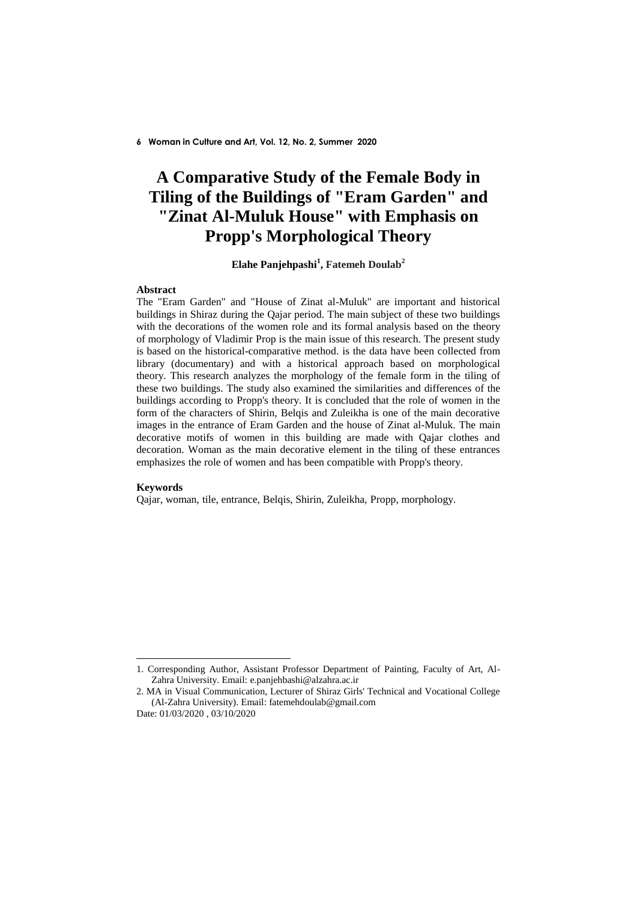# **A Comparative Study of the Female Body in Tiling of the Buildings of "Eram Garden" and "Zinat Al-Muluk House" with Emphasis on Propp's Morphological Theory**

# **Elahe Panjehpashi<sup>1</sup> , Fatemeh Doulab<sup>2</sup>**

## **Abstract**

The "Eram Garden" and "House of Zinat al-Muluk" are important and historical buildings in Shiraz during the Qajar period. The main subject of these two buildings with the decorations of the women role and its formal analysis based on the theory of morphology of Vladimir Prop is the main issue of this research. The present study is based on the historical-comparative method. is the data have been collected from library (documentary) and with a historical approach based on morphological theory. This research analyzes the morphology of the female form in the tiling of these two buildings. The study also examined the similarities and differences of the buildings according to Propp's theory. It is concluded that the role of women in the form of the characters of Shirin, Belqis and Zuleikha is one of the main decorative images in the entrance of Eram Garden and the house of Zinat al-Muluk. The main decorative motifs of women in this building are made with Qajar clothes and decoration. Woman as the main decorative element in the tiling of these entrances emphasizes the role of women and has been compatible with Propp's theory.

### **Keywords**

<u>.</u>

Qajar, woman, tile, entrance, Belqis, Shirin, Zuleikha, Propp, morphology.

<sup>1.</sup> Corresponding Author, Assistant Professor Department of Painting, Faculty of Art, Al-Zahra University. Email: e.panjehbashi@alzahra.ac.ir

<sup>2.</sup> MA in Visual Communication, Lecturer of Shiraz Girls' Technical and Vocational College (Al-Zahra University). Email: fatemehdoulab@gmail.com

Date: 01/03/2020 , 03/10/2020